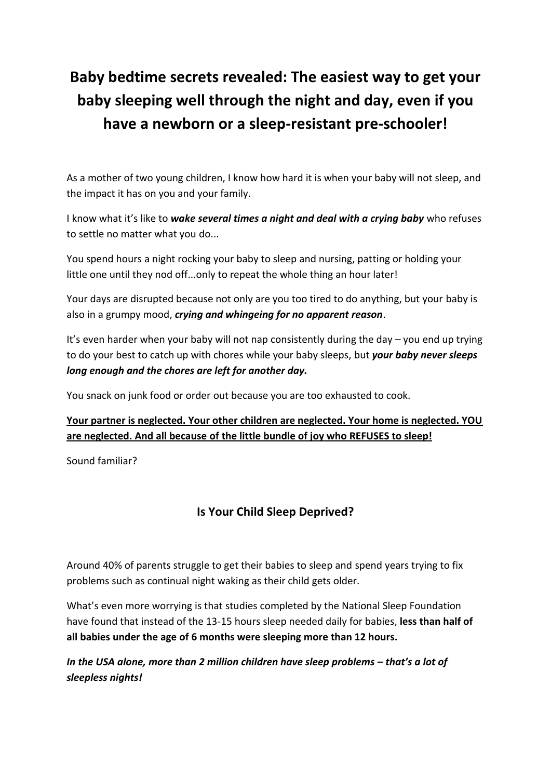# **Baby bedtime secrets revealed: The easiest way to get your baby sleeping well through the night and day, even if you have a newborn or a sleep-resistant pre-schooler!**

As a mother of two young children, I know how hard it is when your baby will not sleep, and the impact it has on you and your family.

I know what it's like to *wake several times a night and deal with a crying baby* who refuses to settle no matter what you do...

You spend hours a night rocking your baby to sleep and nursing, patting or holding your little one until they nod off...only to repeat the whole thing an hour later!

Your days are disrupted because not only are you too tired to do anything, but your baby is also in a grumpy mood, *crying and whingeing for no apparent reason*.

It's even harder when your baby will not nap consistently during the day – you end up trying to do your best to catch up with chores while your baby sleeps, but *your baby never sleeps long enough and the chores are left for another day.*

You snack on junk food or order out because you are too exhausted to cook.

## **Your partner is neglected. Your other children are neglected. Your home is neglected. YOU are neglected. And all because of the little bundle of joy who REFUSES to sleep!**

Sound familiar?

# **Is Your Child Sleep Deprived?**

Around 40% of parents struggle to get their babies to sleep and spend years trying to fix problems such as continual night waking as their child gets older.

What's even more worrying is that studies completed by the National Sleep Foundation have found that instead of the 13-15 hours sleep needed daily for babies, **less than half of all babies under the age of 6 months were sleeping more than 12 hours.**

*In the USA alone, more than 2 million children have sleep problems – that's a lot of sleepless nights!*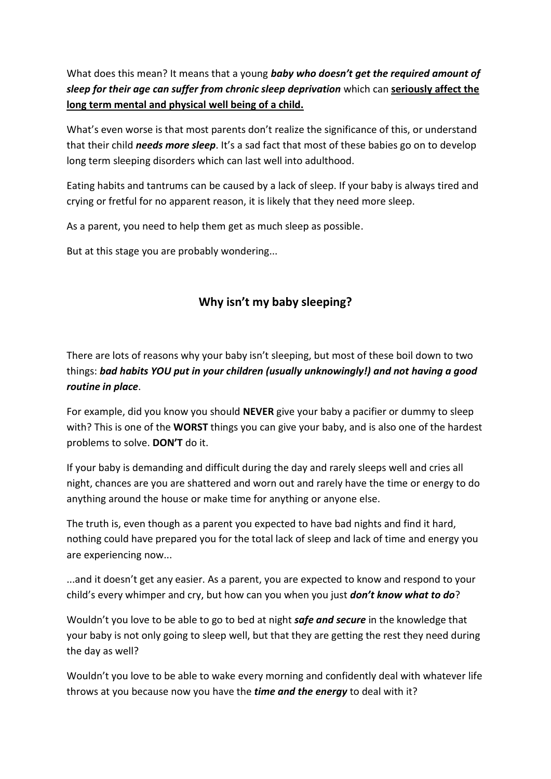What does this mean? It means that a young *baby who doesn't get the required amount of sleep for their age can suffer from chronic sleep deprivation* which can **seriously affect the long term mental and physical well being of a child.** 

What's even worse is that most parents don't realize the significance of this, or understand that their child *needs more sleep*. It's a sad fact that most of these babies go on to develop long term sleeping disorders which can last well into adulthood.

Eating habits and tantrums can be caused by a lack of sleep. If your baby is always tired and crying or fretful for no apparent reason, it is likely that they need more sleep.

As a parent, you need to help them get as much sleep as possible.

But at this stage you are probably wondering...

# **Why isn't my baby sleeping?**

There are lots of reasons why your baby isn't sleeping, but most of these boil down to two things: *bad habits YOU put in your children (usually unknowingly!) and not having a good routine in place*.

For example, did you know you should **NEVER** give your baby a pacifier or dummy to sleep with? This is one of the **WORST** things you can give your baby, and is also one of the hardest problems to solve. **DON'T** do it.

If your baby is demanding and difficult during the day and rarely sleeps well and cries all night, chances are you are shattered and worn out and rarely have the time or energy to do anything around the house or make time for anything or anyone else.

The truth is, even though as a parent you expected to have bad nights and find it hard, nothing could have prepared you for the total lack of sleep and lack of time and energy you are experiencing now...

...and it doesn't get any easier. As a parent, you are expected to know and respond to your child's every whimper and cry, but how can you when you just *don't know what to do*?

Wouldn't you love to be able to go to bed at night *safe and secure* in the knowledge that your baby is not only going to sleep well, but that they are getting the rest they need during the day as well?

Wouldn't you love to be able to wake every morning and confidently deal with whatever life throws at you because now you have the *time and the energy* to deal with it?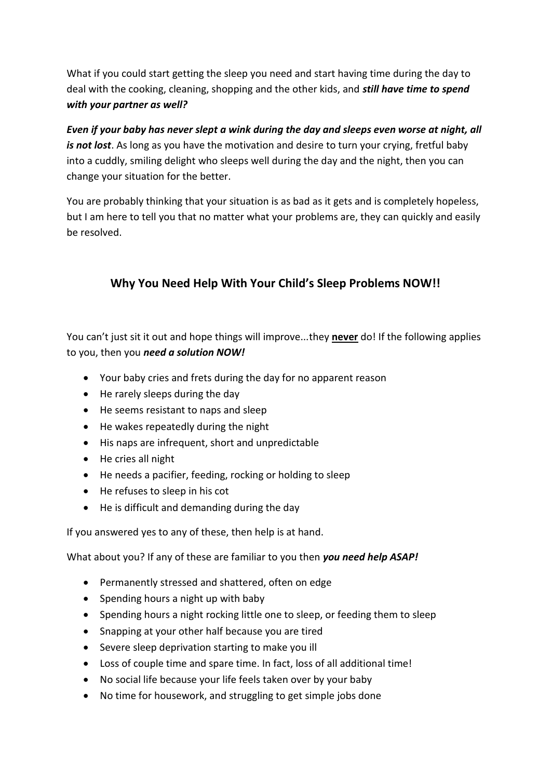What if you could start getting the sleep you need and start having time during the day to deal with the cooking, cleaning, shopping and the other kids, and *still have time to spend with your partner as well?* 

*Even if your baby has never slept a wink during the day and sleeps even worse at night, all is not lost*. As long as you have the motivation and desire to turn your crying, fretful baby into a cuddly, smiling delight who sleeps well during the day and the night, then you can change your situation for the better.

You are probably thinking that your situation is as bad as it gets and is completely hopeless, but I am here to tell you that no matter what your problems are, they can quickly and easily be resolved.

# **Why You Need Help With Your Child's Sleep Problems NOW!!**

You can't just sit it out and hope things will improve...they **never** do! If the following applies to you, then you *need a solution NOW!*

- Your baby cries and frets during the day for no apparent reason
- He rarely sleeps during the day
- He seems resistant to naps and sleep
- He wakes repeatedly during the night
- His naps are infrequent, short and unpredictable
- He cries all night
- He needs a pacifier, feeding, rocking or holding to sleep
- He refuses to sleep in his cot
- He is difficult and demanding during the day

If you answered yes to any of these, then help is at hand.

What about you? If any of these are familiar to you then *you need help ASAP!*

- Permanently stressed and shattered, often on edge
- $\bullet$  Spending hours a night up with baby
- Spending hours a night rocking little one to sleep, or feeding them to sleep
- Snapping at your other half because you are tired
- Severe sleep deprivation starting to make you ill
- Loss of couple time and spare time. In fact, loss of all additional time!
- No social life because your life feels taken over by your baby
- No time for housework, and struggling to get simple jobs done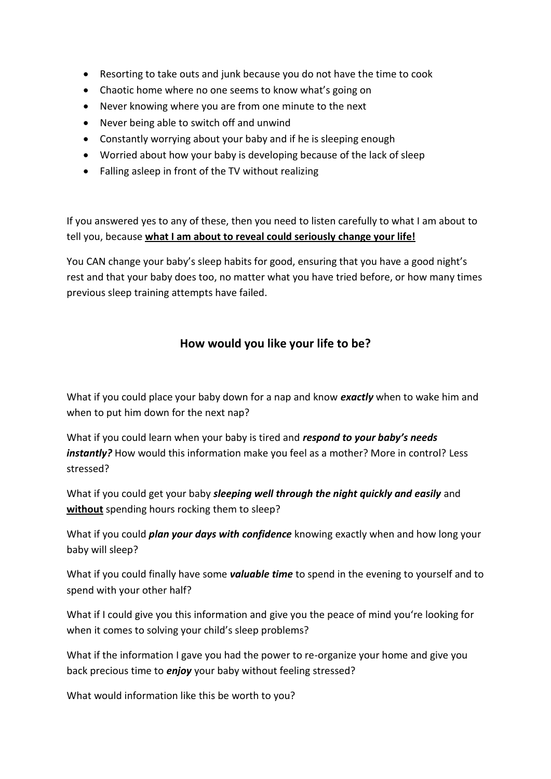- Resorting to take outs and junk because you do not have the time to cook
- Chaotic home where no one seems to know what's going on
- Never knowing where you are from one minute to the next
- Never being able to switch off and unwind
- Constantly worrying about your baby and if he is sleeping enough
- Worried about how your baby is developing because of the lack of sleep
- Falling asleep in front of the TV without realizing

If you answered yes to any of these, then you need to listen carefully to what I am about to tell you, because **what I am about to reveal could seriously change your life!**

You CAN change your baby's sleep habits for good, ensuring that you have a good night's rest and that your baby does too, no matter what you have tried before, or how many times previous sleep training attempts have failed.

## **How would you like your life to be?**

What if you could place your baby down for a nap and know *exactly* when to wake him and when to put him down for the next nap?

What if you could learn when your baby is tired and *respond to your baby's needs instantly?* How would this information make you feel as a mother? More in control? Less stressed?

What if you could get your baby *sleeping well through the night quickly and easily* and **without** spending hours rocking them to sleep?

What if you could *plan your days with confidence* knowing exactly when and how long your baby will sleep?

What if you could finally have some *valuable time* to spend in the evening to yourself and to spend with your other half?

What if I could give you this information and give you the peace of mind you're looking for when it comes to solving your child's sleep problems?

What if the information I gave you had the power to re-organize your home and give you back precious time to *enjoy* your baby without feeling stressed?

What would information like this be worth to you?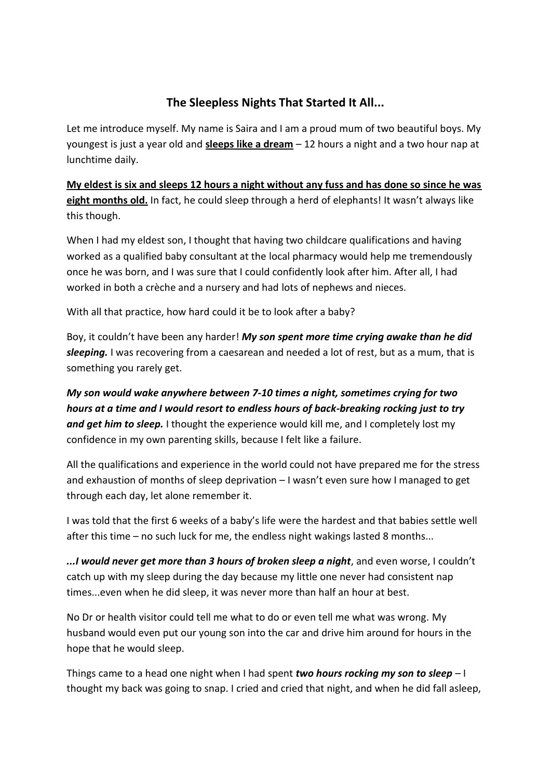## **The Sleepless Nights That Started It All...**

Let me introduce myself. My name is Saira and I am a proud mum of two beautiful boys. My youngest is just a year old and **sleeps like a dream** – 12 hours a night and a two hour nap at lunchtime daily.

**My eldest is six and sleeps 12 hours a night without any fuss and has done so since he was eight months old.** In fact, he could sleep through a herd of elephants! It wasn't always like this though.

When I had my eldest son, I thought that having two childcare qualifications and having worked as a qualified baby consultant at the local pharmacy would help me tremendously once he was born, and I was sure that I could confidently look after him. After all, I had worked in both a crèche and a nursery and had lots of nephews and nieces.

With all that practice, how hard could it be to look after a baby?

Boy, it couldn't have been any harder! *My son spent more time crying awake than he did sleeping.* I was recovering from a caesarean and needed a lot of rest, but as a mum, that is something you rarely get.

*My son would wake anywhere between 7-10 times a night, sometimes crying for two hours at a time and I would resort to endless hours of back-breaking rocking just to try and get him to sleep.* I thought the experience would kill me, and I completely lost my confidence in my own parenting skills, because I felt like a failure.

All the qualifications and experience in the world could not have prepared me for the stress and exhaustion of months of sleep deprivation – I wasn't even sure how I managed to get through each day, let alone remember it.

I was told that the first 6 weeks of a baby's life were the hardest and that babies settle well after this time – no such luck for me, the endless night wakings lasted 8 months...

*...I would never get more than 3 hours of broken sleep a night*, and even worse, I couldn't catch up with my sleep during the day because my little one never had consistent nap times...even when he did sleep, it was never more than half an hour at best.

No Dr or health visitor could tell me what to do or even tell me what was wrong. My husband would even put our young son into the car and drive him around for hours in the hope that he would sleep.

Things came to a head one night when I had spent *two hours rocking my son to sleep* – I thought my back was going to snap. I cried and cried that night, and when he did fall asleep,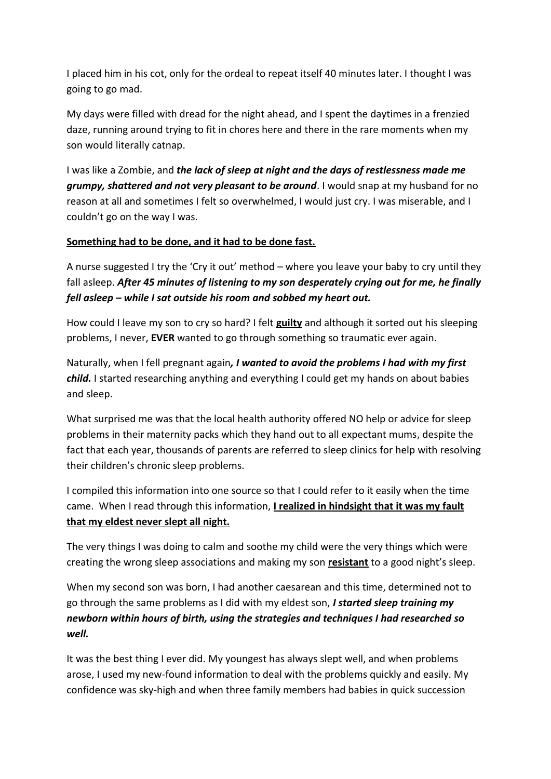I placed him in his cot, only for the ordeal to repeat itself 40 minutes later. I thought I was going to go mad.

My days were filled with dread for the night ahead, and I spent the daytimes in a frenzied daze, running around trying to fit in chores here and there in the rare moments when my son would literally catnap.

I was like a Zombie, and *the lack of sleep at night and the days of restlessness made me grumpy, shattered and not very pleasant to be around*. I would snap at my husband for no reason at all and sometimes I felt so overwhelmed, I would just cry. I was miserable, and I couldn't go on the way I was.

#### **Something had to be done, and it had to be done fast.**

A nurse suggested I try the 'Cry it out' method – where you leave your baby to cry until they fall asleep. *After 45 minutes of listening to my son desperately crying out for me, he finally fell asleep – while I sat outside his room and sobbed my heart out.*

How could I leave my son to cry so hard? I felt **guilty** and although it sorted out his sleeping problems, I never, **EVER** wanted to go through something so traumatic ever again.

Naturally, when I fell pregnant again*, I wanted to avoid the problems I had with my first*  child. I started researching anything and everything I could get my hands on about babies and sleep.

What surprised me was that the local health authority offered NO help or advice for sleep problems in their maternity packs which they hand out to all expectant mums, despite the fact that each year, thousands of parents are referred to sleep clinics for help with resolving their children's chronic sleep problems.

I compiled this information into one source so that I could refer to it easily when the time came. When I read through this information, **I realized in hindsight that it was my fault that my eldest never slept all night.**

The very things I was doing to calm and soothe my child were the very things which were creating the wrong sleep associations and making my son **resistant** to a good night's sleep.

When my second son was born, I had another caesarean and this time, determined not to go through the same problems as I did with my eldest son, *I started sleep training my newborn within hours of birth, using the strategies and techniques I had researched so well.*

It was the best thing I ever did. My youngest has always slept well, and when problems arose, I used my new-found information to deal with the problems quickly and easily. My confidence was sky-high and when three family members had babies in quick succession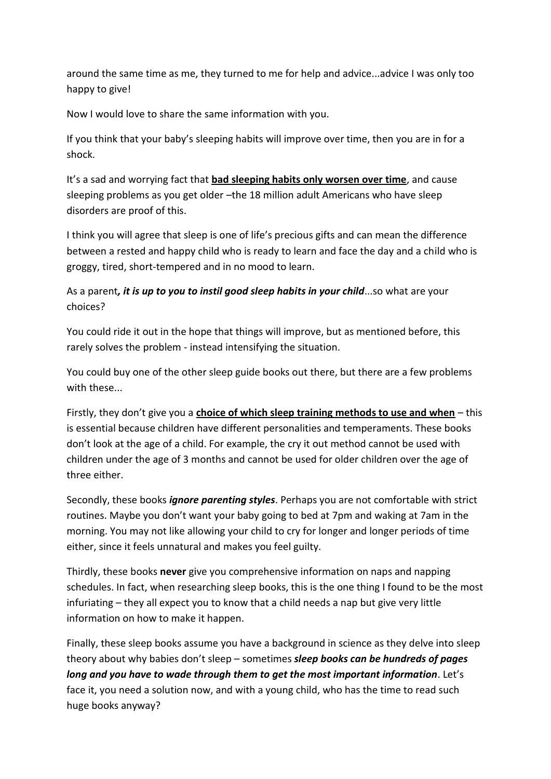around the same time as me, they turned to me for help and advice...advice I was only too happy to give!

Now I would love to share the same information with you.

If you think that your baby's sleeping habits will improve over time, then you are in for a shock.

It's a sad and worrying fact that **bad sleeping habits only worsen over time**, and cause sleeping problems as you get older –the 18 million adult Americans who have sleep disorders are proof of this.

I think you will agree that sleep is one of life's precious gifts and can mean the difference between a rested and happy child who is ready to learn and face the day and a child who is groggy, tired, short-tempered and in no mood to learn.

As a parent*, it is up to you to instil good sleep habits in your child*...so what are your choices?

You could ride it out in the hope that things will improve, but as mentioned before, this rarely solves the problem - instead intensifying the situation.

You could buy one of the other sleep guide books out there, but there are a few problems with these...

Firstly, they don't give you a **choice of which sleep training methods to use and when** – this is essential because children have different personalities and temperaments. These books don't look at the age of a child. For example, the cry it out method cannot be used with children under the age of 3 months and cannot be used for older children over the age of three either.

Secondly, these books *ignore parenting styles*. Perhaps you are not comfortable with strict routines. Maybe you don't want your baby going to bed at 7pm and waking at 7am in the morning. You may not like allowing your child to cry for longer and longer periods of time either, since it feels unnatural and makes you feel guilty.

Thirdly, these books **never** give you comprehensive information on naps and napping schedules. In fact, when researching sleep books, this is the one thing I found to be the most infuriating – they all expect you to know that a child needs a nap but give very little information on how to make it happen.

Finally, these sleep books assume you have a background in science as they delve into sleep theory about why babies don't sleep – sometimes *sleep books can be hundreds of pages long and you have to wade through them to get the most important information*. Let's face it, you need a solution now, and with a young child, who has the time to read such huge books anyway?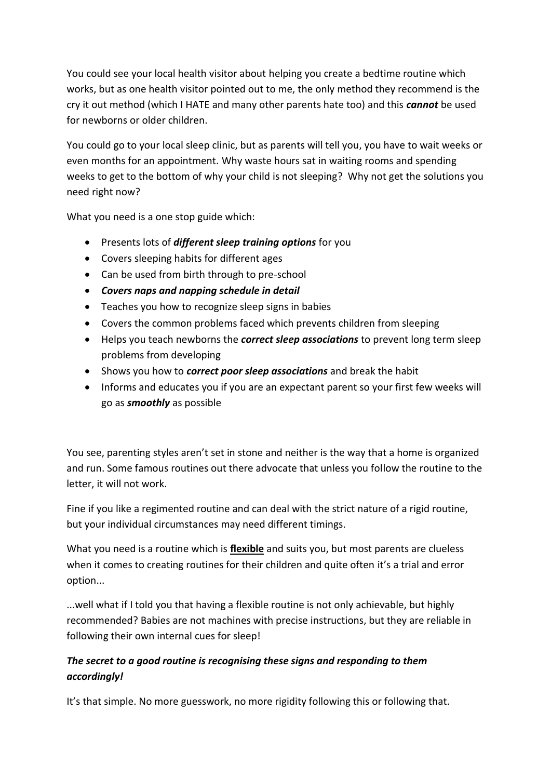You could see your local health visitor about helping you create a bedtime routine which works, but as one health visitor pointed out to me, the only method they recommend is the cry it out method (which I HATE and many other parents hate too) and this *cannot* be used for newborns or older children.

You could go to your local sleep clinic, but as parents will tell you, you have to wait weeks or even months for an appointment. Why waste hours sat in waiting rooms and spending weeks to get to the bottom of why your child is not sleeping? Why not get the solutions you need right now?

What you need is a one stop guide which:

- Presents lots of *different sleep training options* for you
- Covers sleeping habits for different ages
- Can be used from birth through to pre-school
- *Covers naps and napping schedule in detail*
- Teaches you how to recognize sleep signs in babies
- Covers the common problems faced which prevents children from sleeping
- Helps you teach newborns the *correct sleep associations* to prevent long term sleep problems from developing
- Shows you how to *correct poor sleep associations* and break the habit
- Informs and educates you if you are an expectant parent so your first few weeks will go as *smoothly* as possible

You see, parenting styles aren't set in stone and neither is the way that a home is organized and run. Some famous routines out there advocate that unless you follow the routine to the letter, it will not work.

Fine if you like a regimented routine and can deal with the strict nature of a rigid routine, but your individual circumstances may need different timings.

What you need is a routine which is **flexible** and suits you, but most parents are clueless when it comes to creating routines for their children and quite often it's a trial and error option...

...well what if I told you that having a flexible routine is not only achievable, but highly recommended? Babies are not machines with precise instructions, but they are reliable in following their own internal cues for sleep!

## *The secret to a good routine is recognising these signs and responding to them accordingly!*

It's that simple. No more guesswork, no more rigidity following this or following that.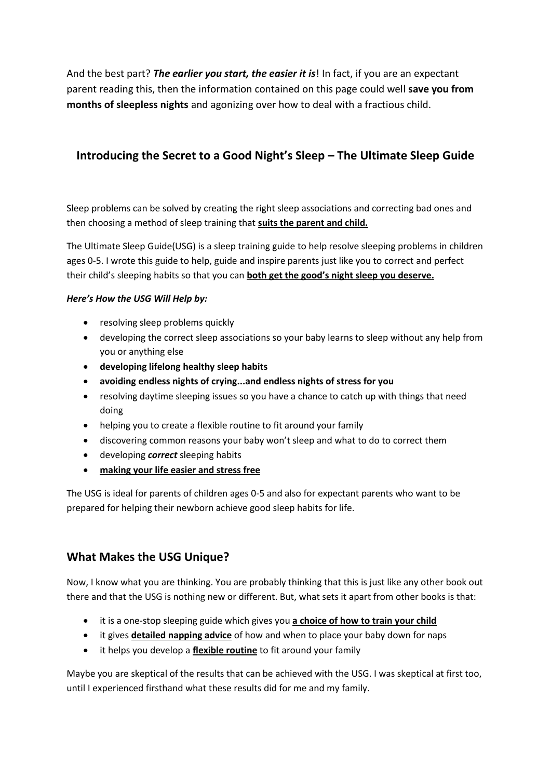And the best part? *The earlier you start, the easier it is*! In fact, if you are an expectant parent reading this, then the information contained on this page could well **save you from months of sleepless nights** and agonizing over how to deal with a fractious child.

## **Introducing the Secret to a Good Night's Sleep – The Ultimate Sleep Guide**

Sleep problems can be solved by creating the right sleep associations and correcting bad ones and then choosing a method of sleep training that **suits the parent and child.**

The Ultimate Sleep Guide(USG) is a sleep training guide to help resolve sleeping problems in children ages 0-5. I wrote this guide to help, guide and inspire parents just like you to correct and perfect their child's sleeping habits so that you can **both get the good's night sleep you deserve.**

#### *Here's How the USG Will Help by:*

- resolving sleep problems quickly
- developing the correct sleep associations so your baby learns to sleep without any help from you or anything else
- **developing lifelong healthy sleep habits**
- **avoiding endless nights of crying...and endless nights of stress for you**
- resolving daytime sleeping issues so you have a chance to catch up with things that need doing
- helping you to create a flexible routine to fit around your family
- discovering common reasons your baby won't sleep and what to do to correct them
- developing *correct* sleeping habits
- **making your life easier and stress free**

The USG is ideal for parents of children ages 0-5 and also for expectant parents who want to be prepared for helping their newborn achieve good sleep habits for life.

#### **What Makes the USG Unique?**

Now, I know what you are thinking. You are probably thinking that this is just like any other book out there and that the USG is nothing new or different. But, what sets it apart from other books is that:

- **•** it is a one-stop sleeping guide which gives you **a choice of how to train your child**
- it gives **detailed napping advice** of how and when to place your baby down for naps
- it helps you develop a **flexible routine** to fit around your family

Maybe you are skeptical of the results that can be achieved with the USG. I was skeptical at first too, until I experienced firsthand what these results did for me and my family.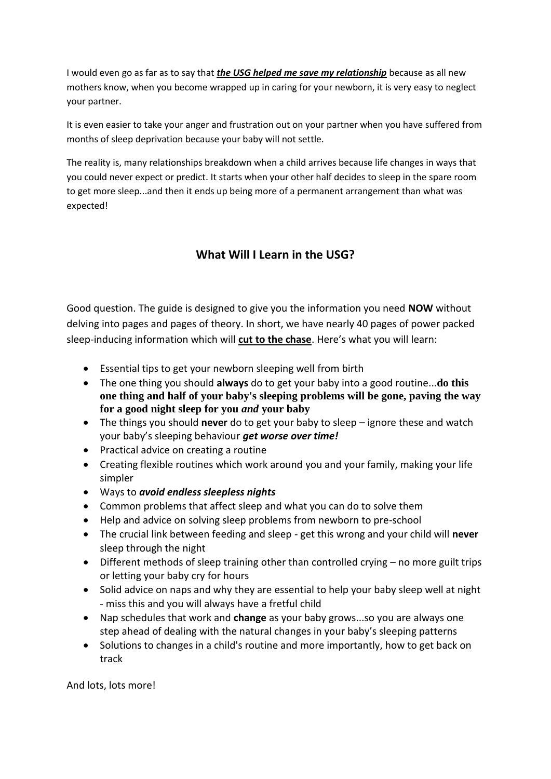I would even go as far as to say that *the USG helped me save my relationship* because as all new mothers know, when you become wrapped up in caring for your newborn, it is very easy to neglect your partner.

It is even easier to take your anger and frustration out on your partner when you have suffered from months of sleep deprivation because your baby will not settle.

The reality is, many relationships breakdown when a child arrives because life changes in ways that you could never expect or predict. It starts when your other half decides to sleep in the spare room to get more sleep...and then it ends up being more of a permanent arrangement than what was expected!

## **What Will I Learn in the USG?**

Good question. The guide is designed to give you the information you need **NOW** without delving into pages and pages of theory. In short, we have nearly 40 pages of power packed sleep-inducing information which will **cut to the chase**. Here's what you will learn:

- Essential tips to get your newborn sleeping well from birth
- The one thing you should **always** do to get your baby into a good routine...**do this one thing and half of your baby's sleeping problems will be gone, paving the way for a good night sleep for you** *and* **your baby**
- The things you should **never** do to get your baby to sleep ignore these and watch your baby's sleeping behaviour *get worse over time!*
- Practical advice on creating a routine
- Creating flexible routines which work around you and your family, making your life simpler
- Ways to *avoid endless sleepless nights*
- Common problems that affect sleep and what you can do to solve them
- Help and advice on solving sleep problems from newborn to pre-school
- The crucial link between feeding and sleep get this wrong and your child will **never** sleep through the night
- Different methods of sleep training other than controlled crying no more guilt trips or letting your baby cry for hours
- Solid advice on naps and why they are essential to help your baby sleep well at night - miss this and you will always have a fretful child
- Nap schedules that work and **change** as your baby grows...so you are always one step ahead of dealing with the natural changes in your baby's sleeping patterns
- Solutions to changes in a child's routine and more importantly, how to get back on track

And lots, lots more!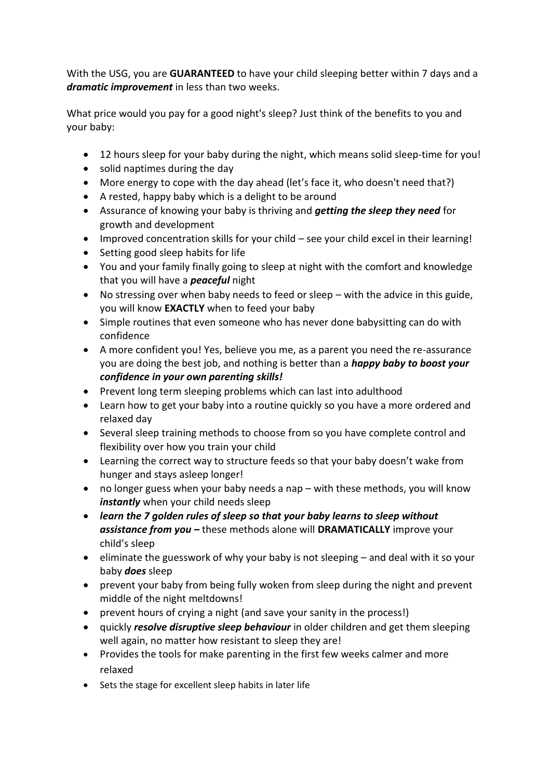With the USG, you are **GUARANTEED** to have your child sleeping better within 7 days and a *dramatic improvement* in less than two weeks.

What price would you pay for a good night's sleep? Just think of the benefits to you and your baby:

- 12 hours sleep for your baby during the night, which means solid sleep-time for you!
- solid naptimes during the day
- More energy to cope with the day ahead (let's face it, who doesn't need that?)
- A rested, happy baby which is a delight to be around
- Assurance of knowing your baby is thriving and *getting the sleep they need* for growth and development
- Improved concentration skills for your child see your child excel in their learning!
- Setting good sleep habits for life
- You and your family finally going to sleep at night with the comfort and knowledge that you will have a *peaceful* night
- No stressing over when baby needs to feed or sleep with the advice in this guide, you will know **EXACTLY** when to feed your baby
- Simple routines that even someone who has never done babysitting can do with confidence
- A more confident you! Yes, believe you me, as a parent you need the re-assurance you are doing the best job, and nothing is better than a *happy baby to boost your confidence in your own parenting skills!*
- Prevent long term sleeping problems which can last into adulthood
- Learn how to get your baby into a routine quickly so you have a more ordered and relaxed day
- Several sleep training methods to choose from so you have complete control and flexibility over how you train your child
- Learning the correct way to structure feeds so that your baby doesn't wake from hunger and stays asleep longer!
- no longer guess when your baby needs a nap with these methods, you will know *instantly* when your child needs sleep
- *learn the 7 golden rules of sleep so that your baby learns to sleep without assistance from you –* these methods alone will **DRAMATICALLY** improve your child's sleep
- e eliminate the guesswork of why your baby is not sleeping  $-$  and deal with it so your baby *does* sleep
- prevent your baby from being fully woken from sleep during the night and prevent middle of the night meltdowns!
- prevent hours of crying a night (and save your sanity in the process!)
- quickly *resolve disruptive sleep behaviour* in older children and get them sleeping well again, no matter how resistant to sleep they are!
- Provides the tools for make parenting in the first few weeks calmer and more relaxed
- Sets the stage for excellent sleep habits in later life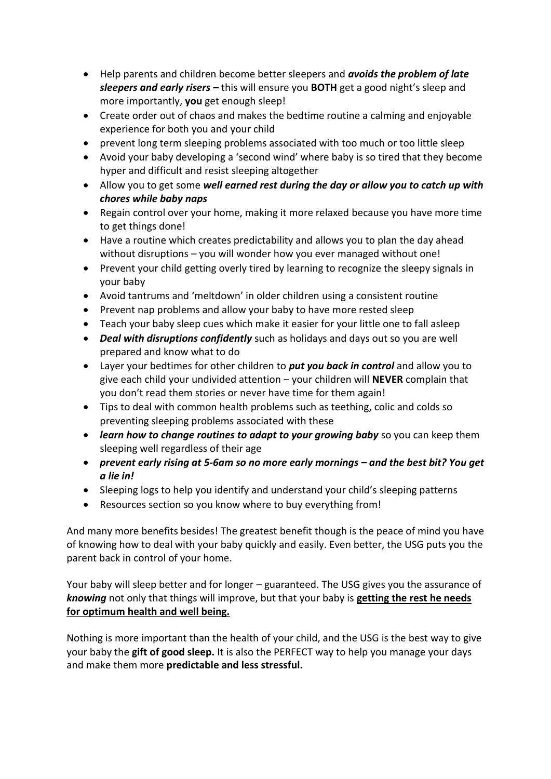- Help parents and children become better sleepers and *avoids the problem of late sleepers and early risers –* this will ensure you **BOTH** get a good night's sleep and more importantly, **you** get enough sleep!
- Create order out of chaos and makes the bedtime routine a calming and enjoyable experience for both you and your child
- prevent long term sleeping problems associated with too much or too little sleep
- Avoid your baby developing a 'second wind' where baby is so tired that they become hyper and difficult and resist sleeping altogether
- Allow you to get some *well earned rest during the day or allow you to catch up with chores while baby naps*
- Regain control over your home, making it more relaxed because you have more time to get things done!
- Have a routine which creates predictability and allows you to plan the day ahead without disruptions – you will wonder how you ever managed without one!
- Prevent your child getting overly tired by learning to recognize the sleepy signals in your baby
- Avoid tantrums and 'meltdown' in older children using a consistent routine
- Prevent nap problems and allow your baby to have more rested sleep
- Teach your baby sleep cues which make it easier for your little one to fall asleep
- *Deal with disruptions confidently* such as holidays and days out so you are well prepared and know what to do
- Layer your bedtimes for other children to *put you back in control* and allow you to give each child your undivided attention – your children will **NEVER** complain that you don't read them stories or never have time for them again!
- Tips to deal with common health problems such as teething, colic and colds so preventing sleeping problems associated with these
- *learn how to change routines to adapt to your growing baby* so you can keep them sleeping well regardless of their age
- *prevent early rising at 5-6am so no more early mornings – and the best bit? You get a lie in!*
- Sleeping logs to help you identify and understand your child's sleeping patterns
- Resources section so you know where to buy everything from!

And many more benefits besides! The greatest benefit though is the peace of mind you have of knowing how to deal with your baby quickly and easily. Even better, the USG puts you the parent back in control of your home.

Your baby will sleep better and for longer – guaranteed. The USG gives you the assurance of *knowing* not only that things will improve, but that your baby is **getting the rest he needs for optimum health and well being.**

Nothing is more important than the health of your child, and the USG is the best way to give your baby the **gift of good sleep.** It is also the PERFECT way to help you manage your days and make them more **predictable and less stressful.**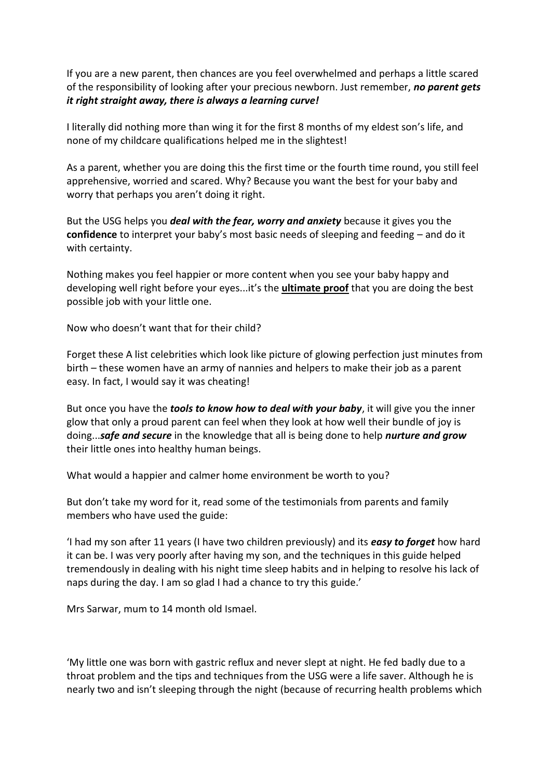If you are a new parent, then chances are you feel overwhelmed and perhaps a little scared of the responsibility of looking after your precious newborn. Just remember, *no parent gets it right straight away, there is always a learning curve!*

I literally did nothing more than wing it for the first 8 months of my eldest son's life, and none of my childcare qualifications helped me in the slightest!

As a parent, whether you are doing this the first time or the fourth time round, you still feel apprehensive, worried and scared. Why? Because you want the best for your baby and worry that perhaps you aren't doing it right.

But the USG helps you *deal with the fear, worry and anxiety* because it gives you the **confidence** to interpret your baby's most basic needs of sleeping and feeding – and do it with certainty.

Nothing makes you feel happier or more content when you see your baby happy and developing well right before your eyes...it's the **ultimate proof** that you are doing the best possible job with your little one.

Now who doesn't want that for their child?

Forget these A list celebrities which look like picture of glowing perfection just minutes from birth – these women have an army of nannies and helpers to make their job as a parent easy. In fact, I would say it was cheating!

But once you have the *tools to know how to deal with your baby*, it will give you the inner glow that only a proud parent can feel when they look at how well their bundle of joy is doing...*safe and secure* in the knowledge that all is being done to help *nurture and grow* their little ones into healthy human beings.

What would a happier and calmer home environment be worth to you?

But don't take my word for it, read some of the testimonials from parents and family members who have used the guide:

'I had my son after 11 years (I have two children previously) and its *easy to forget* how hard it can be. I was very poorly after having my son, and the techniques in this guide helped tremendously in dealing with his night time sleep habits and in helping to resolve his lack of naps during the day. I am so glad I had a chance to try this guide.'

Mrs Sarwar, mum to 14 month old Ismael.

'My little one was born with gastric reflux and never slept at night. He fed badly due to a throat problem and the tips and techniques from the USG were a life saver. Although he is nearly two and isn't sleeping through the night (because of recurring health problems which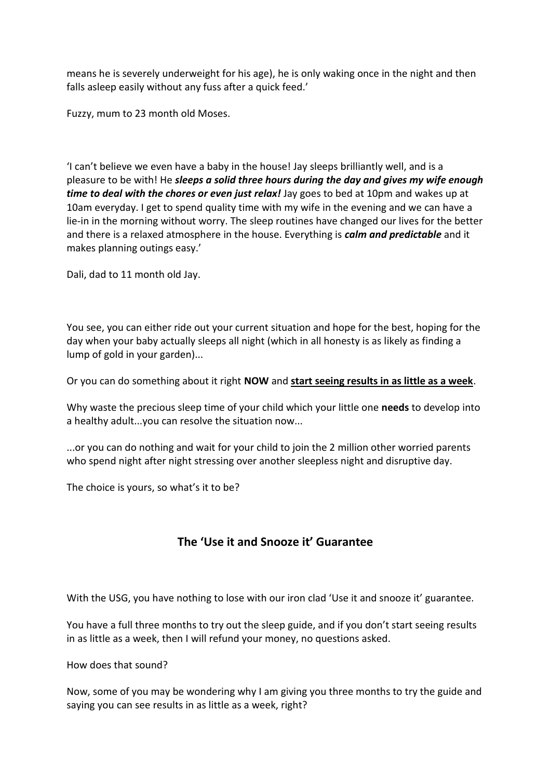means he is severely underweight for his age), he is only waking once in the night and then falls asleep easily without any fuss after a quick feed.'

Fuzzy, mum to 23 month old Moses.

'I can't believe we even have a baby in the house! Jay sleeps brilliantly well, and is a pleasure to be with! He *sleeps a solid three hours during the day and gives my wife enough time to deal with the chores or even just relax!* Jay goes to bed at 10pm and wakes up at 10am everyday. I get to spend quality time with my wife in the evening and we can have a lie-in in the morning without worry. The sleep routines have changed our lives for the better and there is a relaxed atmosphere in the house. Everything is *calm and predictable* and it makes planning outings easy.'

Dali, dad to 11 month old Jay.

You see, you can either ride out your current situation and hope for the best, hoping for the day when your baby actually sleeps all night (which in all honesty is as likely as finding a lump of gold in your garden)...

Or you can do something about it right **NOW** and **start seeing results in as little as a week**.

Why waste the precious sleep time of your child which your little one **needs** to develop into a healthy adult...you can resolve the situation now...

...or you can do nothing and wait for your child to join the 2 million other worried parents who spend night after night stressing over another sleepless night and disruptive day.

The choice is yours, so what's it to be?

## **The 'Use it and Snooze it' Guarantee**

With the USG, you have nothing to lose with our iron clad 'Use it and snooze it' guarantee.

You have a full three months to try out the sleep guide, and if you don't start seeing results in as little as a week, then I will refund your money, no questions asked.

How does that sound?

Now, some of you may be wondering why I am giving you three months to try the guide and saying you can see results in as little as a week, right?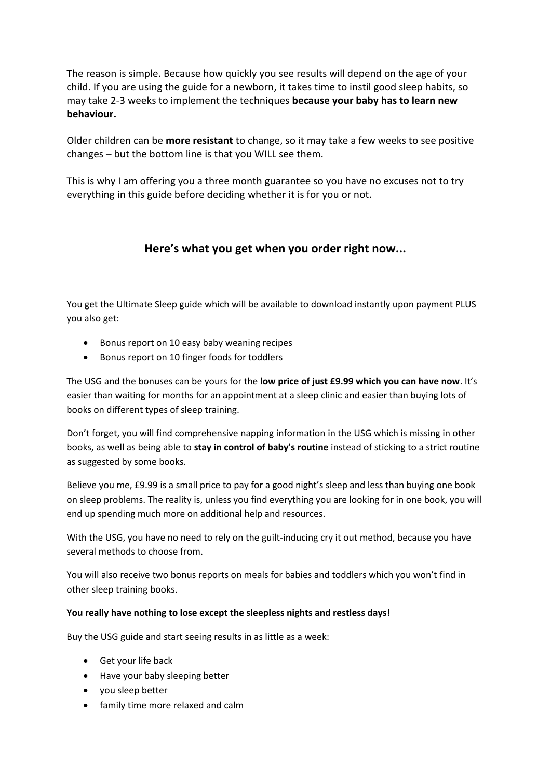The reason is simple. Because how quickly you see results will depend on the age of your child. If you are using the guide for a newborn, it takes time to instil good sleep habits, so may take 2-3 weeks to implement the techniques **because your baby has to learn new behaviour.** 

Older children can be **more resistant** to change, so it may take a few weeks to see positive changes – but the bottom line is that you WILL see them.

This is why I am offering you a three month guarantee so you have no excuses not to try everything in this guide before deciding whether it is for you or not.

#### **Here's what you get when you order right now...**

You get the Ultimate Sleep guide which will be available to download instantly upon payment PLUS you also get:

- Bonus report on 10 easy baby weaning recipes
- Bonus report on 10 finger foods for toddlers

The USG and the bonuses can be yours for the **low price of just £9.99 which you can have now**. It's easier than waiting for months for an appointment at a sleep clinic and easier than buying lots of books on different types of sleep training.

Don't forget, you will find comprehensive napping information in the USG which is missing in other books, as well as being able to **stay in control of baby's routine** instead of sticking to a strict routine as suggested by some books.

Believe you me, £9.99 is a small price to pay for a good night's sleep and less than buying one book on sleep problems. The reality is, unless you find everything you are looking for in one book, you will end up spending much more on additional help and resources.

With the USG, you have no need to rely on the guilt-inducing cry it out method, because you have several methods to choose from.

You will also receive two bonus reports on meals for babies and toddlers which you won't find in other sleep training books.

#### **You really have nothing to lose except the sleepless nights and restless days!**

Buy the USG guide and start seeing results in as little as a week:

- Get your life back
- Have your baby sleeping better
- you sleep better
- family time more relaxed and calm